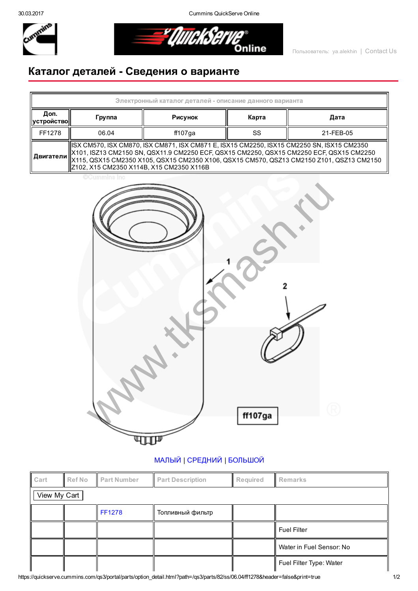30.03.2017 Cummins QuickServe Online



o<br>Online

## Каталог деталей Сведения о варианте

| Электронный каталог деталей - описание данного варианта |                                                                                                                                                                                                                                    |         |       |           |  |  |  |  |
|---------------------------------------------------------|------------------------------------------------------------------------------------------------------------------------------------------------------------------------------------------------------------------------------------|---------|-------|-----------|--|--|--|--|
| Доп.<br><b>  устройство  </b>                           | Группа                                                                                                                                                                                                                             | Рисунок | Карта | Дата      |  |  |  |  |
| FF1278                                                  | 06.04                                                                                                                                                                                                                              | ff107ga | SS    | 21-FEB-05 |  |  |  |  |
|                                                         | ISX CM570, ISX CM870, ISX CM871, ISX CM871 E, ISX15 CM2250, ISX15 CM2250 SN, ISX15 CM2350<br>  X101, ISZ13 CM2150 SN, QSX11.9 CM2250 ECF, QSX15 CM2250, QSX15 CM2250 ECF, QSX15 CM2250<br>Z102, X15 CM2350 X114B, X15 CM2350 X116B |         |       |           |  |  |  |  |

**CCummins Inc** 



## [МАЛЫЙ](javascript:swap_img() | [СРЕДНИЙ](javascript:swap_img() | [БОЛЬШОЙ](javascript:swap_img()

| Cart         | <b>Ref No</b> | <b>Part Number</b> | <b>Part Description</b> | Required | Remarks                  |  |  |  |
|--------------|---------------|--------------------|-------------------------|----------|--------------------------|--|--|--|
| View My Cart |               |                    |                         |          |                          |  |  |  |
|              |               | <b>FF1278</b>      | Топливный фильтр        |          |                          |  |  |  |
|              |               |                    |                         |          | <b>Fuel Filter</b>       |  |  |  |
|              |               |                    |                         |          | Water in Fuel Sensor: No |  |  |  |
|              |               |                    |                         |          | Fuel Filter Type: Water  |  |  |  |